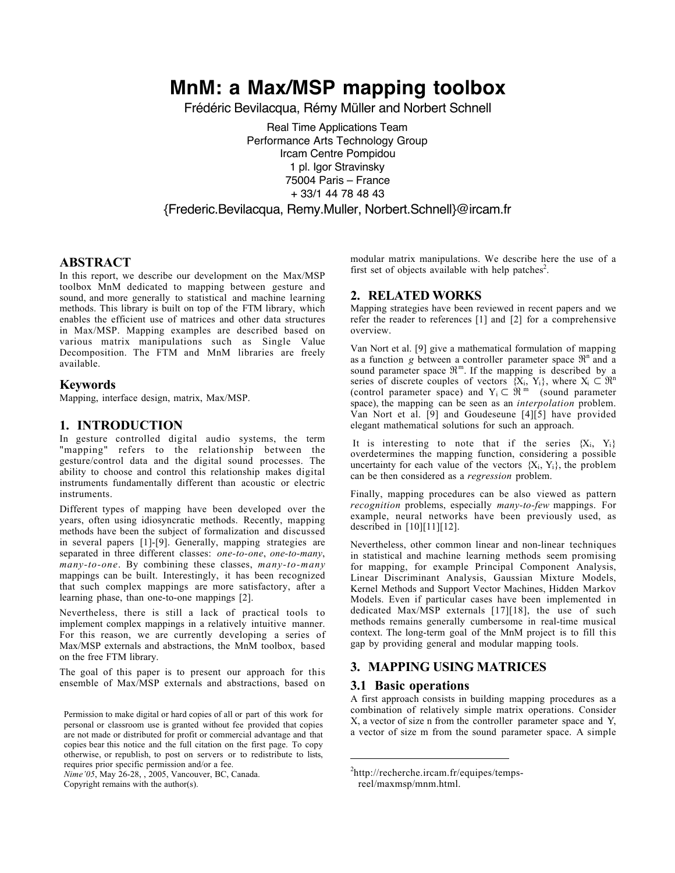# **MnM: a Max/MSP mapping toolbox**

Frédéric Bevilacqua, Rémy Müller and Norbert Schnell

Real Time Applications Team Performance Arts Technology Group Ircam Centre Pompidou 1 pl. Igor Stravinsky 75004 Paris – France + 33/1 44 78 48 43 {Frederic.Bevilacqua, Remy.Muller, Norbert.Schnell}@ircam.fr

# ABSTRACT

In this report, we describe our development on the Max/MSP toolbox MnM dedicated to mapping between gesture and sound, and more generally to statistical and machine learning methods. This library is built on top of the FTM library, which enables the efficient use of matrices and other data structures in Max/MSP. Mapping examples are described based on various matrix manipulations such as Single Value Decomposition. The FTM and MnM libraries are freely available.

## Keywords

Mapping, interface design, matrix, Max/MSP.

# 1. INTRODUCTION

In gesture controlled digital audio systems, the term "mapping" refers to the relationship between the gesture/control data and the digital sound processes. The ability to choose and control this relationship makes digital instruments fundamentally different than acoustic or electric instruments.

Different types of mapping have been developed over the years, often using idiosyncratic methods. Recently, mapping methods have been the subject of formalization and discussed in several papers [1]-[9]. Generally, mapping strategies are separated in three different classes: *one-to-one*, *one-to-many*, *many-to-one*. By combining these classes, *many-to-many* mappings can be built. Interestingly, it has been recognized that such complex mappings are more satisfactory, after a learning phase, than one-to-one mappings [2].

Nevertheless, there is still a lack of practical tools to implement complex mappings in a relatively intuitive manner. For this reason, we are currently developing a series of Max/MSP externals and abstractions, the MnM toolbox, based on the free FTM library.

The goal of this paper is to present our approach for this ensemble of Max/MSP externals and abstractions, based on

*Nime'05*, May 26-28, , 2005, Vancouver, BC, Canada.

Copyright remains with the author(s).

modular matrix manipulations. We describe here the use of a first set of objects available with help patches<sup>2</sup>.

# 2. RELATED WORKS

Mapping strategies have been reviewed in recent papers and we refer the reader to references [1] and [2] for a comprehensive overview.

Van Nort et al. [9] give a mathematical formulation of mapping as a function *g* between a controller parameter space  $\mathfrak{R}^n$  and a sound parameter space  $\mathfrak{R}^m$ . If the mapping is described by a series of discrete couples of vectors  $\{X_i, Y_i\}$ , where  $X_i \subset \mathbb{R}^n$ (control parameter space) and  $Y_i \subset \mathfrak{R}^m$  (sound parameter space), the mapping can be seen as an *interpolation* problem. Van Nort et al. [9] and Goudeseune [4][5] have provided elegant mathematical solutions for such an approach.

It is interesting to note that if the series  ${X_i, Y_i}$ overdetermines the mapping function, considering a possible uncertainty for each value of the vectors  ${X_i, Y_i}$ , the problem can be then considered as a *regression* problem.

Finally, mapping procedures can be also viewed as pattern *recognition* problems, especially *many-to-few* mappings. For example, neural networks have been previously used, as described in  $[10][11][12]$ .

Nevertheless, other common linear and non-linear techniques in statistical and machine learning methods seem promising for mapping, for example Principal Component Analysis, Linear Discriminant Analysis, Gaussian Mixture Models, Kernel Methods and Support Vector Machines, Hidden Markov Models. Even if particular cases have been implemented in dedicated Max/MSP externals [17][18], the use of such methods remains generally cumbersome in real-time musical context. The long-term goal of the MnM project is to fill this gap by providing general and modular mapping tools.

# 3. MAPPING USING MATRICES

## 3.1 Basic operations

 $\overline{a}$ 

A first approach consists in building mapping procedures as a combination of relatively simple matrix operations. Consider X, a vector of size n from the controller parameter space and Y, a vector of size m from the sound parameter space. A simple

Permission to make digital or hard copies of all or part of this work for personal or classroom use is granted without fee provided that copies are not made or distributed for profit or commercial advantage and that copies bear this notice and the full citation on the first page. To copy otherwise, or republish, to post on servers or to redistribute to lists, requires prior specific permission and/or a fee.

<sup>2</sup> http://recherche.ircam.fr/equipes/tempsreel/maxmsp/mnm.html.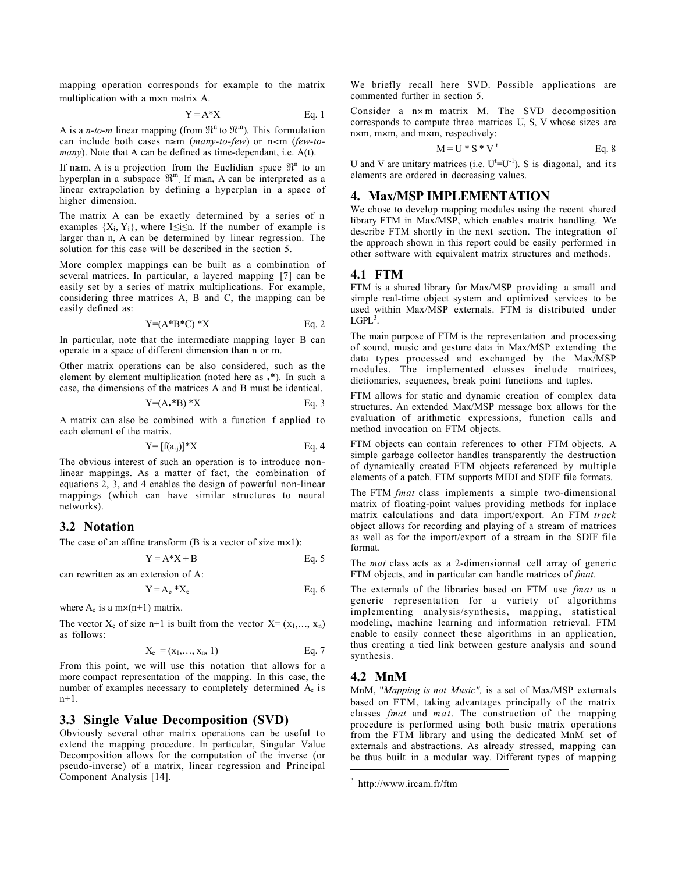mapping operation corresponds for example to the matrix multiplication with a m×n matrix A.

$$
Y = A^*X
$$
 Eq. 1

A is a *n-to-m* linear mapping (from  $\mathbb{R}^n$  to  $\mathbb{R}^m$ ). This formulation can include both cases n≥m (*many-to-few*) or n<m (*few-tomany*). Note that A can be defined as time-dependant, i.e. A(t).

If n≥m, A is a projection from the Euclidian space  $\mathfrak{R}^n$  to an hyperplan in a subspace  $\mathfrak{R}^m$ . If m≥n, A can be interpreted as a linear extrapolation by defining a hyperplan in a space of higher dimension.

The matrix A can be exactly determined by a series of n examples  ${X_i, Y_i}$ , where 1≤i≤n. If the number of example is larger than n, A can be determined by linear regression. The solution for this case will be described in the section 5.

More complex mappings can be built as a combination of several matrices. In particular, a layered mapping [7] can be easily set by a series of matrix multiplications. For example, considering three matrices A, B and C, the mapping can be easily defined as:

$$
Y=(A*B*C)*X
$$
 Eq. 2

In particular, note that the intermediate mapping layer B can operate in a space of different dimension than n or m.

Other matrix operations can be also considered, such as the element by element multiplication (noted here as .\*). In such a case, the dimensions of the matrices A and B must be identical.

$$
Y=(A_{\bullet}*B)*X
$$
 Eq. 3

A matrix can also be combined with a function f applied to each element of the matrix.

$$
Y = [f(a_{ij})] * X \qquad \qquad Eq. 4
$$

The obvious interest of such an operation is to introduce nonlinear mappings. As a matter of fact, the combination of equations 2, 3, and 4 enables the design of powerful non-linear mappings (which can have similar structures to neural networks).

# 3.2 Notation

The case of an affine transform (B is a vector of size  $mx1$ ):

$$
Y = A^*X + B \qquad \qquad Eq. 5
$$

can rewritten as an extension of A:

$$
Y = A_e * X_e
$$
 Eq. 6

where  $A_e$  is a m $\times$ (n+1) matrix.

The vector  $X_e$  of size n+1 is built from the vector  $X = (x_1, \ldots, x_n)$ as follows:

$$
X_e = (x_1, ..., x_n, 1) \tEq. 7
$$

From this point, we will use this notation that allows for a more compact representation of the mapping. In this case, the number of examples necessary to completely determined Ae is n+1.

#### 3.3 Single Value Decomposition (SVD)

Obviously several other matrix operations can be useful to extend the mapping procedure. In particular, Singular Value Decomposition allows for the computation of the inverse (or pseudo-inverse) of a matrix, linear regression and Principal Component Analysis [14].

We briefly recall here SVD. Possible applications are commented further in section 5.

Consider a n×m matrix M. The SVD decomposition corresponds to compute three matrices U, S, V whose sizes are n×m, m×m, and m×m, respectively:

$$
M = U * S * Vt
$$
 Eq. 8

U and V are unitary matrices (i.e.  $U^t = U^{-1}$ ). S is diagonal, and its elements are ordered in decreasing values.

# 4. Max/MSP IMPLEMENTATION

We chose to develop mapping modules using the recent shared library FTM in Max/MSP, which enables matrix handling. We describe FTM shortly in the next section. The integration of the approach shown in this report could be easily performed in other software with equivalent matrix structures and methods.

#### 4.1 FTM

FTM is a shared library for Max/MSP providing a small and simple real-time object system and optimized services to be used within Max/MSP externals. FTM is distributed under  $LGPL<sup>3</sup>$ .

The main purpose of FTM is the representation and processing of sound, music and gesture data in Max/MSP extending the data types processed and exchanged by the Max/MSP modules. The implemented classes include matrices, dictionaries, sequences, break point functions and tuples.

FTM allows for static and dynamic creation of complex data structures. An extended Max/MSP message box allows for the evaluation of arithmetic expressions, function calls and method invocation on FTM objects.

FTM objects can contain references to other FTM objects. A simple garbage collector handles transparently the destruction of dynamically created FTM objects referenced by multiple elements of a patch. FTM supports MIDI and SDIF file formats.

The FTM *fmat* class implements a simple two-dimensional matrix of floating-point values providing methods for inplace matrix calculations and data import/export. An FTM *track* object allows for recording and playing of a stream of matrices as well as for the import/export of a stream in the SDIF file format.

The *mat* class acts as a 2-dimensionnal cell array of generic FTM objects, and in particular can handle matrices of *fmat.*

The externals of the libraries based on FTM use *fmat* as a generic representation for a variety of algorithms implementing analysis/synthesis, mapping, statistical modeling, machine learning and information retrieval. FTM enable to easily connect these algorithms in an application, thus creating a tied link between gesture analysis and sound synthesis.

#### 4.2 MnM

 $\overline{a}$ 

MnM, "*Mapping is not Music",* is a set of Max/MSP externals based on FTM, taking advantages principally of the matrix classes *fmat* and *mat*. The construction of the mapping procedure is performed using both basic matrix operations from the FTM library and using the dedicated MnM set of externals and abstractions. As already stressed, mapping can be thus built in a modular way. Different types of mapping

 $3$  http://www.ircam.fr/ftm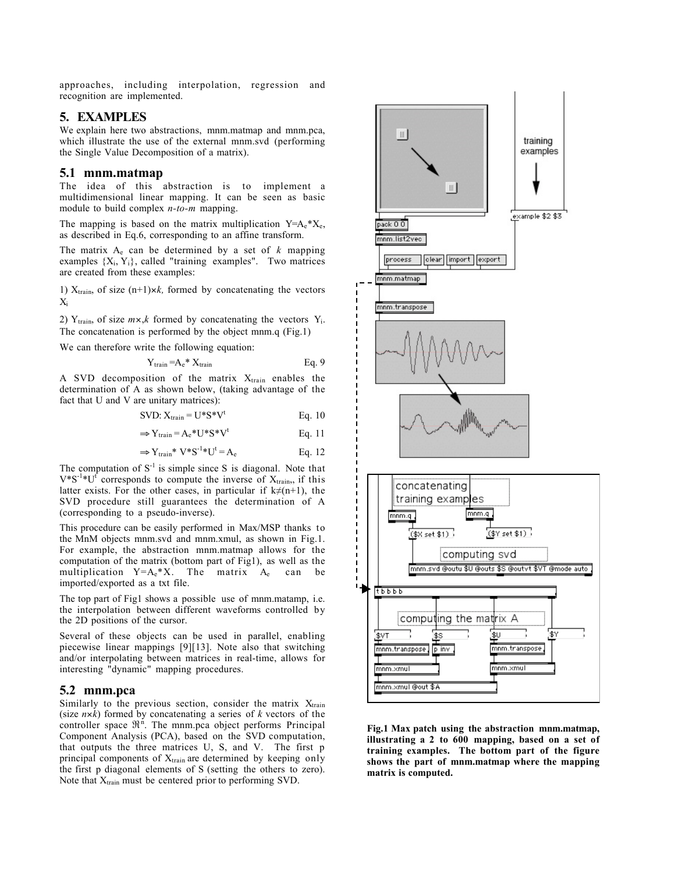approaches, including interpolation, regression and recognition are implemented.

## 5. EXAMPLES

We explain here two abstractions, mnm.matmap and mnm.pca, which illustrate the use of the external mnm.svd (performing the Single Value Decomposition of a matrix).

#### 5.1 mnm.matmap

The idea of this abstraction is to implement a multidimensional linear mapping. It can be seen as basic module to build complex *n-to-m* mapping.

The mapping is based on the matrix multiplication  $Y=A_e*X_e$ , as described in Eq.6, corresponding to an affine transform.

The matrix  $A_e$  can be determined by a set of  $k$  mapping examples  $\{X_i, Y_i\}$ , called "training examples". Two matrices are created from these examples:

1)  $X_{train}$ , of size  $(n+1) \times k$ , formed by concatenating the vectors  $X_i$ 

2)  $Y_{train}$ , of size  $m \times k$  formed by concatenating the vectors  $Y_i$ . The concatenation is performed by the object mnm.q (Fig.1)

We can therefore write the following equation:

$$
Y_{train} = A_e * X_{train}
$$
 Eq. 9

A SVD decomposition of the matrix  $X_{train}$  enables the determination of A as shown below, (taking advantage of the fact that U and V are unitary matrices):

SVD:  $X_{\text{train}} = U^*S^*V^t$  Eq. 10

$$
\Rightarrow Y_{\text{train}} = A_e * U * S * V^t \qquad \qquad Eq. 11
$$

$$
\Rightarrow Y_{\text{train}} * V * S^{-1} * U^t = A_e \qquad \qquad Eq. 12
$$

The computation of  $S<sup>-1</sup>$  is simple since S is diagonal. Note that  $V^*S^{-1}*U^{\dagger}$  corresponds to compute the inverse of  $X_{\text{train}}$ , if this latter exists. For the other cases, in particular if  $k \neq (n+1)$ , the SVD procedure still guarantees the determination of A (corresponding to a pseudo-inverse).

This procedure can be easily performed in Max/MSP thanks to the MnM objects mnm.svd and mnm.xmul, as shown in Fig.1. For example, the abstraction mnm.matmap allows for the computation of the matrix (bottom part of Fig1), as well as the multiplication  $Y=A_e*X$ . The matrix  $A_e$  can be imported/exported as a txt file.

The top part of Fig1 shows a possible use of mnm.matamp, i.e. the interpolation between different waveforms controlled by the 2D positions of the cursor.

Several of these objects can be used in parallel, enabling piecewise linear mappings [9][13]. Note also that switching and/or interpolating between matrices in real-time, allows for interesting "dynamic" mapping procedures.

#### 5.2 mnm.pca

Similarly to the previous section, consider the matrix  $X<sub>train</sub>$ (size *n*×*k*) formed by concatenating a series of *k* vectors of the controller space  $\mathfrak{R}^n$ . The mnm.pca object performs Principal Component Analysis (PCA), based on the SVD computation, that outputs the three matrices U, S, and V. The first p principal components of  $X_{train}$  are determined by keeping only the first p diagonal elements of S (setting the others to zero). Note that  $X_{train}$  must be centered prior to performing SVD.



Fig.1 Max patch using the abstraction mnm.matmap, illustrating a 2 to 600 mapping, based on a set of training examples. The bottom part of the figure shows the part of mnm.matmap where the mapping matrix is computed.